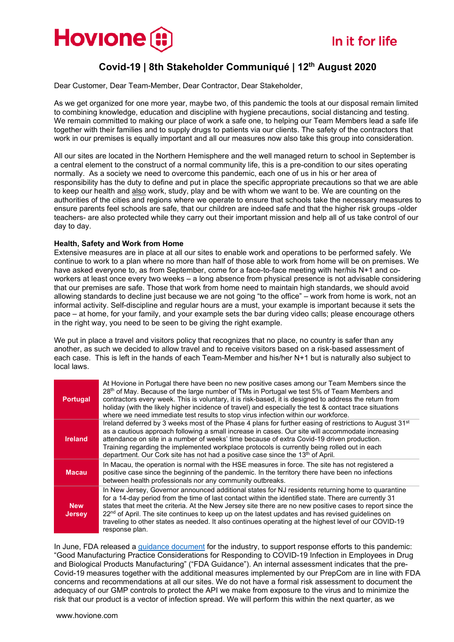

## **Covid-19 | 8th Stakeholder Communiqué | 12th August 2020**

Dear Customer, Dear Team-Member, Dear Contractor, Dear Stakeholder,

As we get organized for one more year, maybe two, of this pandemic the tools at our disposal remain limited to combining knowledge, education and discipline with hygiene precautions, social distancing and testing. We remain committed to making our place of work a safe one, to helping our Team Members lead a safe life together with their families and to supply drugs to patients via our clients. The safety of the contractors that work in our premises is equally important and all our measures now also take this group into consideration.

All our sites are located in the Northern Hemisphere and the well managed return to school in September is a central element to the construct of a normal community life, this is a pre-condition to our sites operating normally. As a society we need to overcome this pandemic, each one of us in his or her area of responsibility has the duty to define and put in place the specific appropriate precautions so that we are able to keep our health and also work, study, play and be with whom we want to be. We are counting on the authorities of the cities and regions where we operate to ensure that schools take the necessary measures to ensure parents feel schools are safe, that our children are indeed safe and that the higher risk groups -older teachers- are also protected while they carry out their important mission and help all of us take control of our day to day.

## **Health, Safety and Work from Home**

Extensive measures are in place at all our sites to enable work and operations to be performed safely. We continue to work to a plan where no more than half of those able to work from home will be on premises. We have asked everyone to, as from September, come for a face-to-face meeting with her/his N+1 and coworkers at least once every two weeks – a long absence from physical presence is not advisable considering that our premises are safe. Those that work from home need to maintain high standards, we should avoid allowing standards to decline just because we are not going "to the office" – work from home is work, not an informal activity. Self-discipline and regular hours are a must, your example is important because it sets the pace – at home, for your family, and your example sets the bar during video calls; please encourage others in the right way, you need to be seen to be giving the right example.

We put in place a travel and visitors policy that recognizes that no place, no country is safer than any another, as such we decided to allow travel and to receive visitors based on a risk-based assessment of each case. This is left in the hands of each Team-Member and his/her N+1 but is naturally also subject to local laws.

| <b>Portugal</b>             | At Hovione in Portugal there have been no new positive cases among our Team Members since the<br>28 <sup>th</sup> of May. Because of the large number of TMs in Portugal we test 5% of Team Members and<br>contractors every week. This is voluntary, it is risk-based, it is designed to address the return from<br>holiday (with the likely higher incidence of travel) and especially the test & contact trace situations<br>where we need immediate test results to stop virus infection within our workforce.                                                 |
|-----------------------------|--------------------------------------------------------------------------------------------------------------------------------------------------------------------------------------------------------------------------------------------------------------------------------------------------------------------------------------------------------------------------------------------------------------------------------------------------------------------------------------------------------------------------------------------------------------------|
| <b>Ireland</b>              | Ireland deferred by 3 weeks most of the Phase 4 plans for further easing of restrictions to August 31 <sup>st</sup><br>as a cautious approach following a small increase in cases. Our site will accommodate increasing<br>attendance on site in a number of weeks' time because of extra Covid-19 driven production.<br>Training regarding the implemented workplace protocols is currently being rolled out in each<br>department. Our Cork site has not had a positive case since the 13 <sup>th</sup> of April.                                                |
| <b>Macau</b>                | In Macau, the operation is normal with the HSE measures in force. The site has not registered a<br>positive case since the beginning of the pandemic. In the territory there have been no infections<br>between health professionals nor any community outbreaks.                                                                                                                                                                                                                                                                                                  |
| <b>New</b><br><b>Jersey</b> | In New Jersey, Governor announced additional states for NJ residents returning home to quarantine<br>for a 14-day period from the time of last contact within the identified state. There are currently 31<br>states that meet the criteria. At the New Jersey site there are no new positive cases to report since the<br>22 <sup>nd</sup> of April. The site continues to keep up on the latest updates and has revised guidelines on<br>traveling to other states as needed. It also continues operating at the highest level of our COVID-19<br>response plan. |

In June, FDA released a [guidance document](https://www.fda.gov/regulatory-information/search-fda-guidance-documents/good-manufacturing-practice-considerations-responding-covid-19-infection-employees-drug-and) for the industry, to support response efforts to this pandemic: "Good Manufacturing Practice Considerations for Responding to COVID-19 Infection in Employees in Drug and Biological Products Manufacturing" ("FDA Guidance"). An internal assessment indicates that the pre-Covid-19 measures together with the additional measures implemented by our PrepCom are in line with FDA concerns and recommendations at all our sites. We do not have a formal risk assessment to document the adequacy of our GMP controls to protect the API we make from exposure to the virus and to minimize the risk that our product is a vector of infection spread. We will perform this within the next quarter, as we